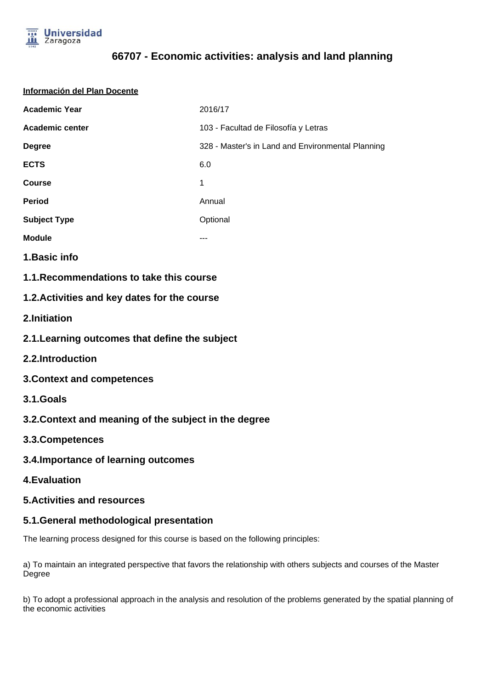

# **66707 - Economic activities: analysis and land planning**

| Información del Plan Docente                   |                                                   |
|------------------------------------------------|---------------------------------------------------|
| <b>Academic Year</b>                           | 2016/17                                           |
| Academic center                                | 103 - Facultad de Filosofía y Letras              |
| <b>Degree</b>                                  | 328 - Master's in Land and Environmental Planning |
| <b>ECTS</b>                                    | 6.0                                               |
| <b>Course</b>                                  | 1                                                 |
| <b>Period</b>                                  | Annual                                            |
| <b>Subject Type</b>                            | Optional                                          |
| <b>Module</b>                                  | ---                                               |
| 1. Basic info                                  |                                                   |
| 1.1. Recommendations to take this course       |                                                   |
| 1.2. Activities and key dates for the course   |                                                   |
| 2.Initiation                                   |                                                   |
| 2.1. Learning outcomes that define the subject |                                                   |
| 2.2.Introduction                               |                                                   |

- **3.Context and competences**
- **3.1.Goals**
- **3.2.Context and meaning of the subject in the degree**
- **3.3.Competences**
- **3.4.Importance of learning outcomes**
- **4.Evaluation**

### **5.Activities and resources**

### **5.1.General methodological presentation**

The learning process designed for this course is based on the following principles:

a) To maintain an integrated perspective that favors the relationship with others subjects and courses of the Master Degree

b) To adopt a professional approach in the analysis and resolution of the problems generated by the spatial planning of the economic activities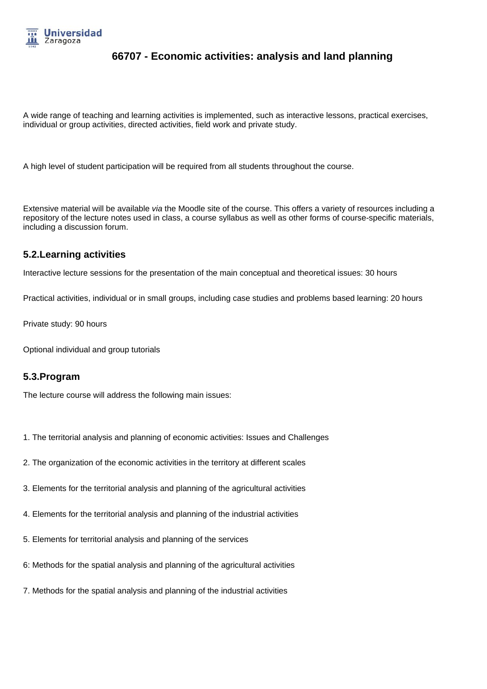

# **66707 - Economic activities: analysis and land planning**

A wide range of teaching and learning activities is implemented, such as interactive lessons, practical exercises, individual or group activities, directed activities, field work and private study.

A high level of student participation will be required from all students throughout the course.

Extensive material will be available via the Moodle site of the course. This offers a variety of resources including a repository of the lecture notes used in class, a course syllabus as well as other forms of course-specific materials, including a discussion forum.

### **5.2.Learning activities**

Interactive lecture sessions for the presentation of the main conceptual and theoretical issues: 30 hours

Practical activities, individual or in small groups, including case studies and problems based learning: 20 hours

Private study: 90 hours

Optional individual and group tutorials

#### **5.3.Program**

The lecture course will address the following main issues:

- 1. The territorial analysis and planning of economic activities: Issues and Challenges
- 2. The organization of the economic activities in the territory at different scales
- 3. Elements for the territorial analysis and planning of the agricultural activities
- 4. Elements for the territorial analysis and planning of the industrial activities
- 5. Elements for territorial analysis and planning of the services
- 6: Methods for the spatial analysis and planning of the agricultural activities
- 7. Methods for the spatial analysis and planning of the industrial activities